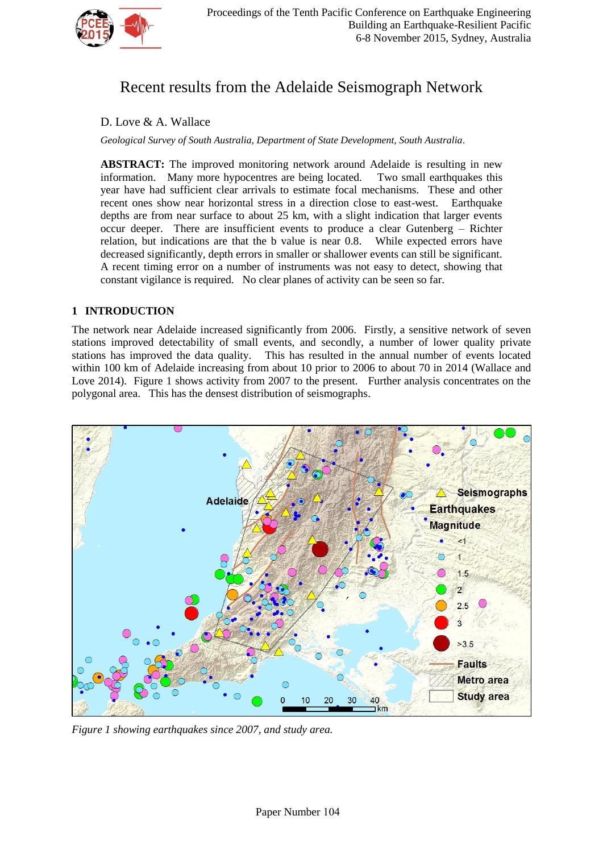

# Recent results from the Adelaide Seismograph Network

# D. Love & A. Wallace

*Geological Survey of South Australia, Department of State Development, South Australia.*

**ABSTRACT:** The improved monitoring network around Adelaide is resulting in new information. Many more hypocentres are being located. Two small earthquakes this information. Many more hypocentres are being located. year have had sufficient clear arrivals to estimate focal mechanisms. These and other recent ones show near horizontal stress in a direction close to east-west. Earthquake depths are from near surface to about 25 km, with a slight indication that larger events occur deeper. There are insufficient events to produce a clear Gutenberg – Richter relation, but indications are that the b value is near 0.8. While expected errors have decreased significantly, depth errors in smaller or shallower events can still be significant. A recent timing error on a number of instruments was not easy to detect, showing that constant vigilance is required. No clear planes of activity can be seen so far.

# **1 INTRODUCTION**

The network near Adelaide increased significantly from 2006. Firstly, a sensitive network of seven stations improved detectability of small events, and secondly, a number of lower quality private stations has improved the data quality. This has resulted in the annual number of events located within 100 km of Adelaide increasing from about 10 prior to 2006 to about 70 in 2014 (Wallace and Love 2014). Figure 1 shows activity from 2007 to the present. Further analysis concentrates on the polygonal area. This has the densest distribution of seismographs.



*Figure 1 showing earthquakes since 2007, and study area.*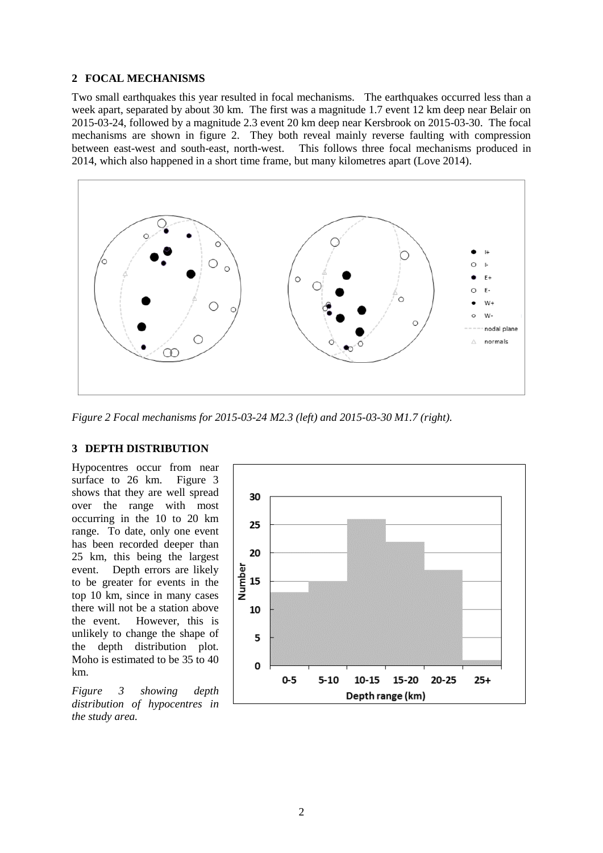## **2 FOCAL MECHANISMS**

Two small earthquakes this year resulted in focal mechanisms. The earthquakes occurred less than a week apart, separated by about 30 km. The first was a magnitude 1.7 event 12 km deep near Belair on 2015-03-24, followed by a magnitude 2.3 event 20 km deep near Kersbrook on 2015-03-30. The focal mechanisms are shown in figure 2. They both reveal mainly reverse faulting with compression between east-west and south-east, north-west. This follows three focal mechanisms produced in 2014, which also happened in a short time frame, but many kilometres apart (Love 2014).



*Figure 2 Focal mechanisms for 2015-03-24 M2.3 (left) and 2015-03-30 M1.7 (right).*

#### **3 DEPTH DISTRIBUTION**

Hypocentres occur from near surface to 26 km. Figure 3 shows that they are well spread over the range with most occurring in the 10 to 20 km range. To date, only one event has been recorded deeper than 25 km, this being the largest event. Depth errors are likely to be greater for events in the top 10 km, since in many cases there will not be a station above the event. However, this is unlikely to change the shape of the depth distribution plot. Moho is estimated to be 35 to 40 km.

*Figure 3 showing depth distribution of hypocentres in the study area.*

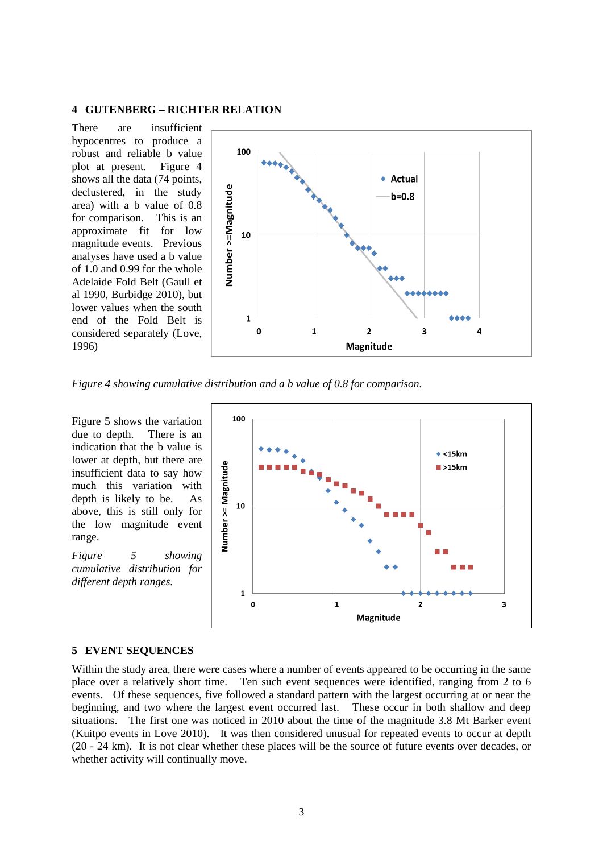#### **4 GUTENBERG – RICHTER RELATION**

There are insufficient hypocentres to produce a robust and reliable b value plot at present. Figure 4 shows all the data (74 points, declustered, in the study area) with a b value of 0.8 for comparison. This is an approximate fit for low magnitude events. Previous analyses have used a b value of 1.0 and 0.99 for the whole Adelaide Fold Belt (Gaull et al 1990, Burbidge 2010), but lower values when the south end of the Fold Belt is considered separately (Love, 1996)



*Figure 4 showing cumulative distribution and a b value of 0.8 for comparison.*

Figure 5 shows the variation due to depth. There is an indication that the b value is lower at depth, but there are insufficient data to say how much this variation with depth is likely to be. As above, this is still only for the low magnitude event range.

*Figure 5 showing cumulative distribution for different depth ranges.*



#### **5 EVENT SEQUENCES**

Within the study area, there were cases where a number of events appeared to be occurring in the same place over a relatively short time. Ten such event sequences were identified, ranging from 2 to 6 events. Of these sequences, five followed a standard pattern with the largest occurring at or near the beginning, and two where the largest event occurred last. These occur in both shallow and deep situations. The first one was noticed in 2010 about the time of the magnitude 3.8 Mt Barker event (Kuitpo events in Love 2010). It was then considered unusual for repeated events to occur at depth (20 - 24 km). It is not clear whether these places will be the source of future events over decades, or whether activity will continually move.